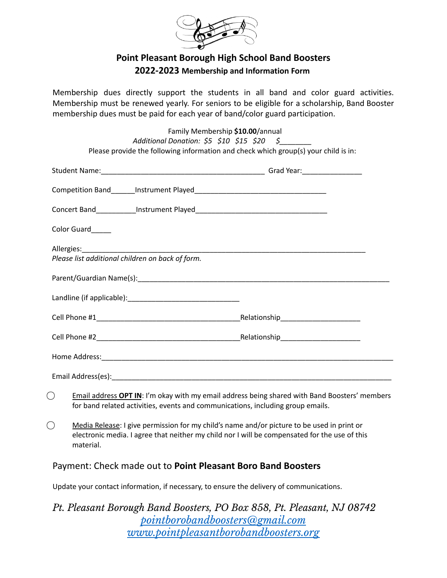

## **Point Pleasant Borough High School Band Boosters 2022-2023 Membership and Information Form**

Membership dues directly support the students in all band and color guard activities. Membership must be renewed yearly. For seniors to be eligible for a scholarship, Band Booster membership dues must be paid for each year of band/color guard participation.

| Color Guard_____                                 |  |
|--------------------------------------------------|--|
| Please list additional children on back of form. |  |
|                                                  |  |
|                                                  |  |
|                                                  |  |
|                                                  |  |
|                                                  |  |

- ⃝ Email address **OPT IN**: I'm okay with my email address being shared with Band Boosters' members for band related activities, events and communications, including group emails.
- $\bigcirc$  Media Release: I give permission for my child's name and/or picture to be used in print or electronic media. I agree that neither my child nor I will be compensated for the use of this material.

## Payment: Check made out to **Point Pleasant Boro Band Boosters**

Update your contact information, if necessary, to ensure the delivery of communications.

## *Pt. Pleasant Borough Band Boosters, PO Box 858, Pt. Pleasant, NJ 08742 pointborobandboosters@gmail.com [www.pointpleasantborobandboosters.org](http://www.pointpleasantborobandboosters.org)*